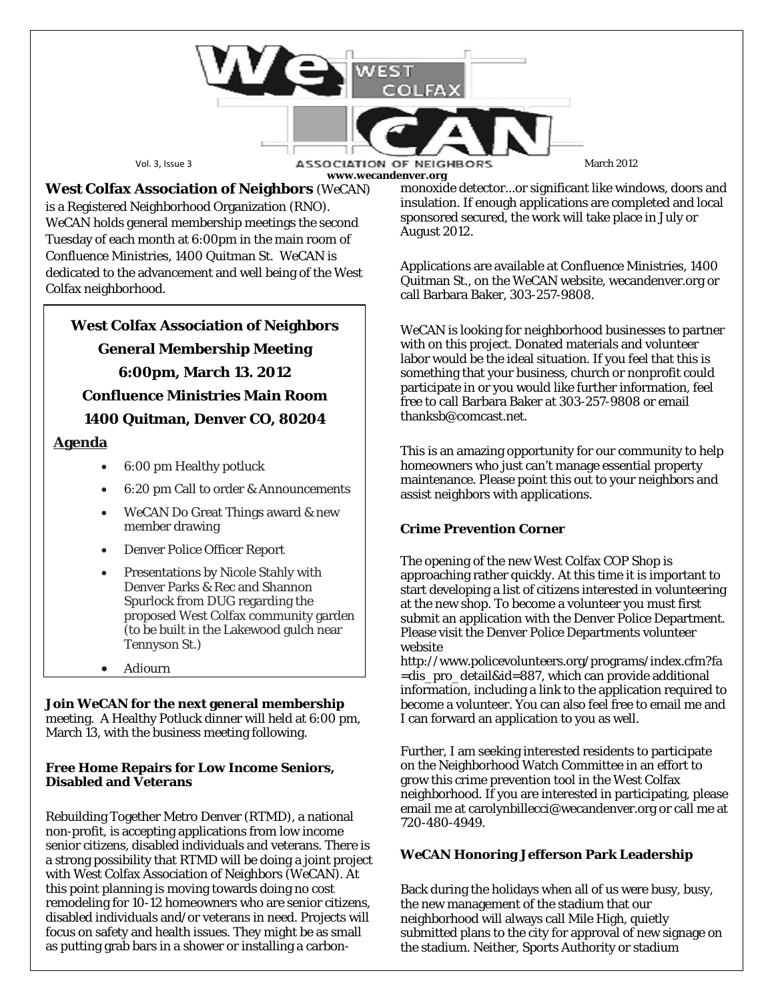

**www.wecandenver.org**

**West Colfax Association of Neighbors** (*WeCAN*) is a Registered Neighborhood Organization (RNO). *WeCAN* holds general membership meetings the second Tuesday of each month at 6:00pm in the main room of Confluence Ministries, 1400 Quitman St. WeCAN is dedicated to the advancement and well being of the West Colfax neighborhood.

**West Colfax Association of Neighbors General Membership Meeting 6:00pm, March 13. 2012 Confluence Ministries Main Room 1400 Quitman, Denver CO, 80204**

## **Agenda**

- 6:00 pm Healthy potluck
- 6:20 pm Call to order & Announcements
- WeCAN Do Great Things award & new member drawing
- Denver Police Officer Report
- Presentations by Nicole Stahly with Denver Parks & Rec and Shannon Spurlock from DUG regarding the proposed West Colfax community garden (to be built in the Lakewood gulch near Tennyson St.)
- Adjourn

## **Join** *WeCAN* **for the next general membership**

meeting. A Healthy Potluck dinner will held at 6:00 pm, March 13, with the business meeting following.

#### **Free Home Repairs for Low Income Seniors, Disabled and Veterans**

Rebuilding Together Metro Denver (RTMD), a national non-profit, is accepting applications from low income senior citizens, disabled individuals and veterans. There is a strong possibility that RTMD will be doing a joint project with West Colfax Association of Neighbors (WeCAN). At this point planning is moving towards doing no cost remodeling for 10-12 homeowners who are senior citizens, disabled individuals and/or veterans in need. Projects will focus on safety and health issues. They might be as small as putting grab bars in a shower or installing a carbonmonoxide detector...or significant like windows, doors and insulation. If enough applications are completed and local sponsored secured, the work will take place in July or August 2012.

Applications are available at Confluence Ministries, 1400 Quitman St., on the *WeCAN* website, wecandenver.org or call Barbara Baker, 303-257-9808.

WeCAN is looking for neighborhood businesses to partner with on this project. Donated materials and volunteer labor would be the ideal situation. If you feel that this is something that your business, church or nonprofit could participate in or you would like further information, feel free to call Barbara Baker at 303-257-9808 or email thanksb@comcast.net.

This is an amazing opportunity for our community to help homeowners who just can't manage essential property maintenance. Please point this out to your neighbors and assist neighbors with applications.

# **Crime Prevention Corner**

The opening of the new West Colfax COP Shop is approaching rather quickly. At this time it is important to start developing a list of citizens interested in volunteering at the new shop. To become a volunteer you must first submit an application with the Denver Police Department. Please visit the Denver Police Departments volunteer website

http://www.policevolunteers.org/programs/index.cfm?fa =dis\_pro\_detail&id=887, which can provide additional information, including a link to the application required to become a volunteer. You can also feel free to email me and I can forward an application to you as well.

Further, I am seeking interested residents to participate on the Neighborhood Watch Committee in an effort to grow this crime prevention tool in the West Colfax neighborhood. If you are interested in participating, please email me at carolynbillecci@wecandenver.org or call me at 720-480-4949.

## *WeCAN* **Honoring Jefferson Park Leadership**

Back during the holidays when all of us were busy, busy, the new management of the stadium that our neighborhood will always call Mile High, quietly submitted plans to the city for approval of new signage on the stadium. Neither, Sports Authority or stadium